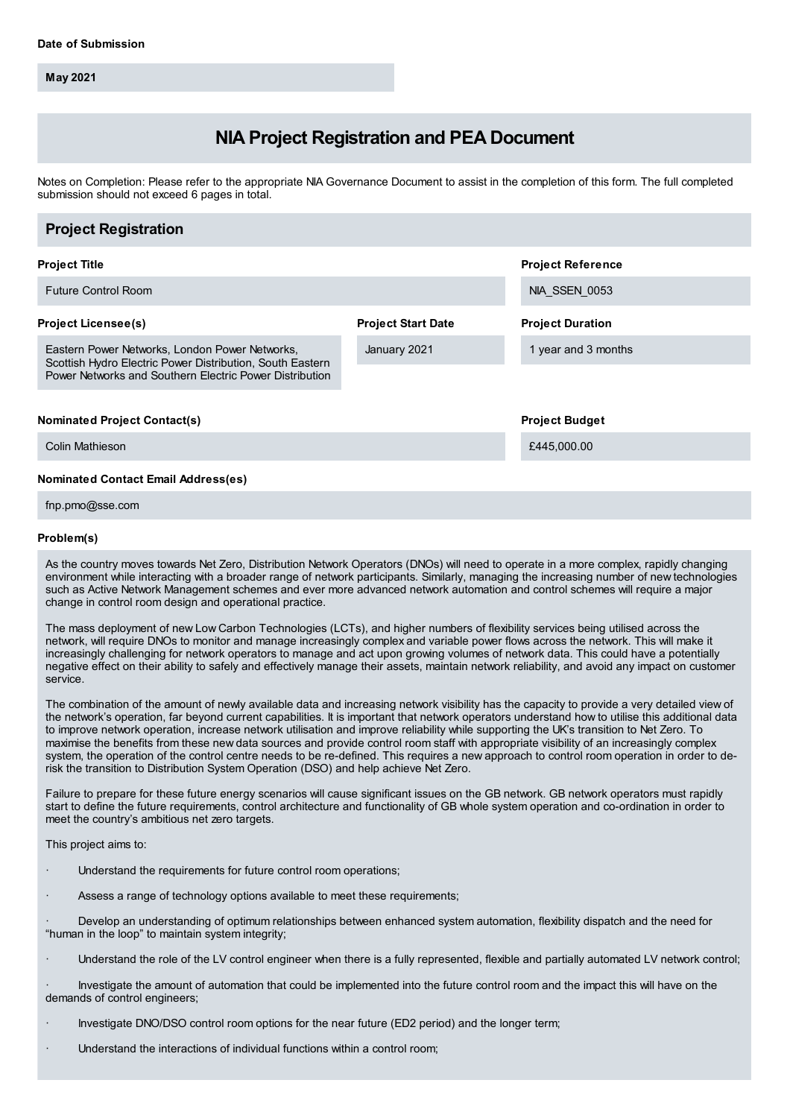**May 2021**

# **NIA Project Registration and PEA Document**

Notes on Completion: Please refer to the appropriate NIA Governance Document to assist in the completion of this form. The full completed submission should not exceed 6 pages in total.

| <b>Project Registration</b>                                                                                                                                            |                           |                          |
|------------------------------------------------------------------------------------------------------------------------------------------------------------------------|---------------------------|--------------------------|
| <b>Project Title</b>                                                                                                                                                   |                           | <b>Project Reference</b> |
| <b>Future Control Room</b>                                                                                                                                             |                           | NIA SSEN 0053            |
| <b>Project Licensee(s)</b>                                                                                                                                             | <b>Project Start Date</b> | <b>Project Duration</b>  |
| Eastern Power Networks, London Power Networks,<br>Scottish Hydro Electric Power Distribution, South Eastern<br>Power Networks and Southern Electric Power Distribution | January 2021              | 1 year and 3 months      |
| <b>Nominated Project Contact(s)</b>                                                                                                                                    |                           | <b>Project Budget</b>    |
| Colin Mathieson<br><b>Nominated Contact Email Address(es)</b>                                                                                                          |                           | £445,000.00              |

fnp.pmo@sse.com

# **Problem(s)**

As the country moves towards Net Zero, Distribution Network Operators (DNOs) will need to operate in a more complex, rapidly changing environment while interacting with a broader range of network participants. Similarly, managing the increasing number of new technologies such as Active Network Management schemes and ever more advanced network automation and control schemes will require a major change in control room design and operational practice.

The mass deployment of new Low Carbon Technologies (LCTs), and higher numbers of flexibility services being utilised across the network, will require DNOs to monitor and manage increasingly complex and variable power flows across the network. This will make it increasingly challenging for network operators to manage and act upon growing volumes of network data. This could have a potentially negative effect on their ability to safely and effectively manage their assets, maintain network reliability, and avoid any impact on customer service.

The combination of the amount of newly available data and increasing network visibility has the capacity to provide a very detailed view of the network's operation, far beyond current capabilities. It is important that network operators understand how to utilise this additional data to improve network operation, increase network utilisation and improve reliability while supporting the UK's transition to Net Zero. To maximise the benefits from these new data sources and provide control room staff with appropriate visibility of an increasingly complex system, the operation of the control centre needs to be re-defined. This requires a new approach to control room operation in order to derisk the transition to Distribution System Operation (DSO) and help achieve Net Zero.

Failure to prepare for these future energy scenarios will cause significant issues on the GB network. GB network operators must rapidly start to define the future requirements, control architecture and functionality of GB whole system operation and co-ordination in order to meet the country's ambitious net zero targets.

This project aims to:

- Understand the requirements for future control room operations;
- Assess a range of technology options available to meet these requirements;

Develop an understanding of optimum relationships between enhanced system automation, flexibility dispatch and the need for "human in the loop" to maintain system integrity;

· Understand the role of the LV control engineer when there is a fully represented, flexible and partially automated LV network control;

· Investigate the amount of automation that could be implemented into the future control room and the impact this will have on the demands of control engineers;

- · Investigate DNO/DSO control room options for the near future (ED2 period) and the longer term;
- Understand the interactions of individual functions within a control room;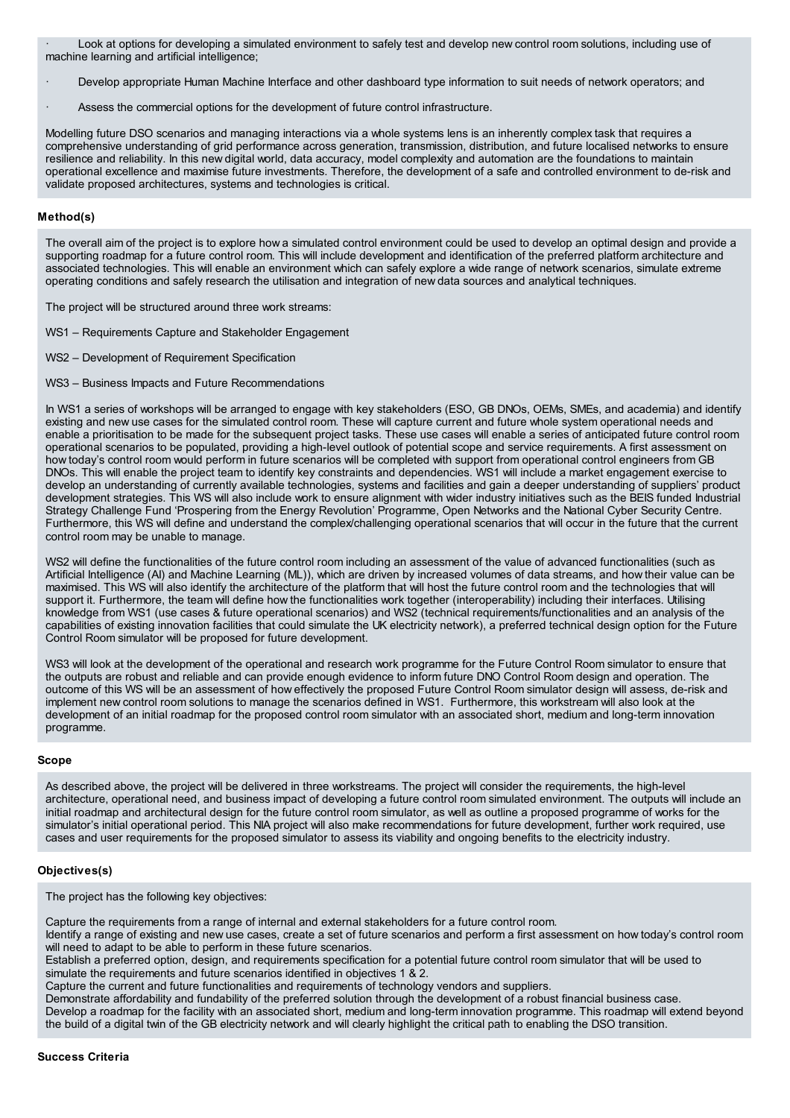Look at options for developing a simulated environment to safely test and develop new control room solutions, including use of machine learning and artificial intelligence;

- Develop appropriate Human Machine Interface and other dashboard type information to suit needs of network operators; and
- Assess the commercial options for the development of future control infrastructure.

Modelling future DSO scenarios and managing interactions via a whole systems lens is an inherently complex task that requires a comprehensive understanding of grid performance across generation, transmission, distribution, and future localised networks to ensure resilience and reliability. In this new digital world, data accuracy, model complexity and automation are the foundations to maintain operational excellence and maximise future investments. Therefore, the development of a safe and controlled environment to de-risk and validate proposed architectures, systems and technologies is critical.

# **Method(s)**

The overall aim of the project is to explore how a simulated control environment could be used to develop an optimal design and provide a supporting roadmap for a future control room. This will include development and identification of the preferred platform architecture and associated technologies. This will enable an environment which can safely explore a wide range of network scenarios, simulate extreme operating conditions and safely research the utilisation and integration of new data sources and analytical techniques.

The project will be structured around three work streams:

- WS1 Requirements Capture and Stakeholder Engagement
- WS2 Development of Requirement Specification
- WS3 Business Impacts and Future Recommendations

In WS1 a series of workshops will be arranged to engage with key stakeholders (ESO, GB DNOs, OEMs, SMEs, and academia) and identify existing and new use cases for the simulated control room. These will capture current and future whole system operational needs and enable a prioritisation to be made for the subsequent project tasks. These use cases will enable a series of anticipated future control room operational scenarios to be populated, providing a high-level outlook of potential scope and service requirements. A first assessment on how today's control room would perform in future scenarios will be completed with support from operational control engineers from GB DNOs. This will enable the project team to identify key constraints and dependencies. WS1 will include a market engagement exercise to develop an understanding of currently available technologies, systems and facilities and gain a deeper understanding of suppliers' product development strategies. This WS will also include work to ensure alignment with wider industry initiatives such as the BEIS funded Industrial Strategy Challenge Fund 'Prospering from the Energy Revolution' Programme, Open Networks and the National Cyber Security Centre. Furthermore, this WS will define and understand the complex/challenging operational scenarios that will occur in the future that the current control room may be unable to manage.

WS2 will define the functionalities of the future control room including an assessment of the value of advanced functionalities (such as Artificial Intelligence (AI) and Machine Learning (ML)), which are driven by increased volumes of data streams, and how their value can be maximised. This WS will also identify the architecture of the platform that will host the future control room and the technologies that will support it. Furthermore, the team will define how the functionalities work together (interoperability) including their interfaces. Utilising knowledge from WS1 (use cases & future operational scenarios) and WS2 (technical requirements/functionalities and an analysis of the capabilities of existing innovation facilities that could simulate the UK electricity network), a preferred technical design option for the Future Control Room simulator will be proposed for future development.

WS3 will look at the development of the operational and research work programme for the Future Control Room simulator to ensure that the outputs are robust and reliable and can provide enough evidence to inform future DNO Control Room design and operation. The outcome of this WS will be an assessment of how effectively the proposed Future Control Room simulator design will assess, de-risk and implement new control room solutions to manage the scenarios defined in WS1. Furthermore, this workstream will also look at the development of an initial roadmap for the proposed control room simulator with an associated short, medium and long-term innovation programme.

#### **Scope**

As described above, the project will be delivered in three workstreams. The project will consider the requirements, the high-level architecture, operational need, and business impact of developing a future control room simulated environment. The outputs will include an initial roadmap and architectural design for the future control room simulator, as well as outline a proposed programme of works for the simulator's initial operational period. This NIA project will also make recommendations for future development, further work required, use cases and user requirements for the proposed simulator to assess its viability and ongoing benefits to the electricity industry.

## **Objectives(s)**

The project has the following key objectives:

Capture the requirements from a range of internal and external stakeholders for a future control room.

Identify a range of existing and new use cases, create a set of future scenarios and perform a first assessment on how today's control room will need to adapt to be able to perform in these future scenarios.

Establish a preferred option, design, and requirements specification for a potential future control room simulator that will be used to simulate the requirements and future scenarios identified in objectives 1 & 2.

Capture the current and future functionalities and requirements of technology vendors and suppliers.

Demonstrate affordability and fundability of the preferred solution through the development of a robust financial business case. Develop a roadmap for the facility with an associated short, medium and long-term innovation programme. This roadmap will extend beyond the build of a digital twin of the GB electricity network and will clearly highlight the critical path to enabling the DSO transition.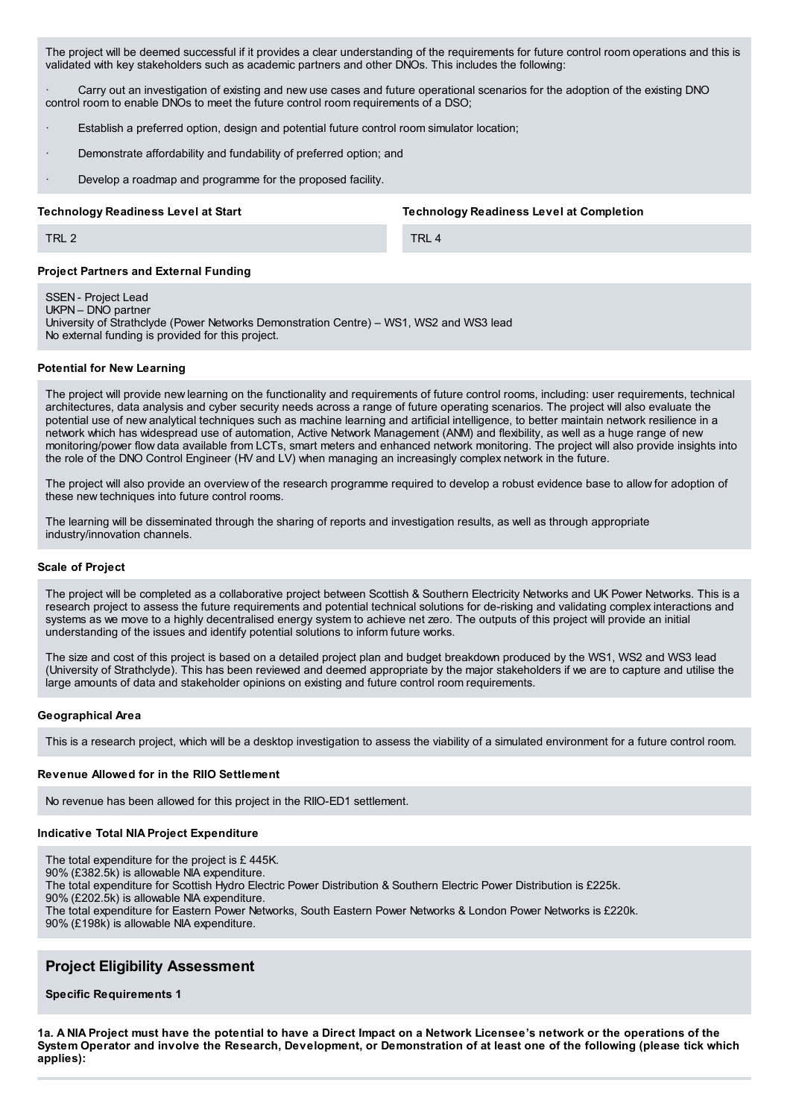The project will be deemed successful if it provides a clear understanding of the requirements for future control room operations and this is validated with key stakeholders such as academic partners and other DNOs. This includes the following:

Carry out an investigation of existing and new use cases and future operational scenarios for the adoption of the existing DNO control room to enable DNOs to meet the future control room requirements of a DSO;

- Establish a preferred option, design and potential future control room simulator location;
- Demonstrate affordability and fundability of preferred option; and
- Develop a roadmap and programme for the proposed facility.

#### **Technology Readiness Level at Start**

**Technology Readiness Level at Completion**

TRL 4

## **Project Partners and External Funding**

SSEN - Project Lead

TRL 2

UKPN – DNO partner

University of Strathclyde (Power Networks Demonstration Centre) – WS1, WS2 and WS3 lead No external funding is provided for this project.

# **Potential for New Learning**

The project will provide new learning on the functionality and requirements of future control rooms, including: user requirements, technical architectures, data analysis and cyber security needs across a range of future operating scenarios. The project will also evaluate the potential use of new analytical techniques such as machine learning and artificial intelligence, to better maintain network resilience in a network which has widespread use of automation, Active Network Management (ANM) and flexibility, as well as a huge range of new monitoring/power flow data available from LCTs, smart meters and enhanced network monitoring. The project will also provide insights into the role of the DNO Control Engineer (HV and LV) when managing an increasingly complex network in the future.

The project will also provide an overview of the research programme required to develop a robust evidence base to allow for adoption of these new techniques into future control rooms.

The learning will be disseminated through the sharing of reports and investigation results, as well as through appropriate industry/innovation channels.

#### **Scale of Project**

The project will be completed as a collaborative project between Scottish & Southern Electricity Networks and UK Power Networks. This is a research project to assess the future requirements and potential technical solutions for de-risking and validating complex interactions and systems as we move to a highly decentralised energy system to achieve net zero. The outputs of this project will provide an initial understanding of the issues and identify potential solutions to inform future works.

The size and cost of this project is based on a detailed project plan and budget breakdown produced by the WS1, WS2 and WS3 lead (University of Strathclyde). This has been reviewed and deemed appropriate by the major stakeholders if we are to capture and utilise the large amounts of data and stakeholder opinions on existing and future control room requirements.

#### **Geographical Area**

This is a research project, which will be a desktop investigation to assess the viability of a simulated environment for a future control room.

### **Revenue Allowed for in the RIIO Settlement**

No revenue has been allowed for this project in the RIIO-ED1 settlement.

## **Indicative Total NIA Project Expenditure**

- The total expenditure for the project is £ 445K.
- 90% (£382.5k) is allowable NIA expenditure.

The total expenditure for Scottish Hydro Electric Power Distribution & Southern Electric Power Distribution is £225k.

90% (£202.5k) is allowable NIA expenditure.

The total expenditure for Eastern Power Networks, South Eastern Power Networks & London Power Networks is £220k.

90% (£198k) is allowable NIA expenditure.

# **Project Eligibility Assessment**

**Specific Requirements 1**

1a. A NIA Project must have the potential to have a Direct Impact on a Network Licensee's network or the operations of the System Operator and involve the Research, Development, or Demonstration of at least one of the following (please tick which **applies):**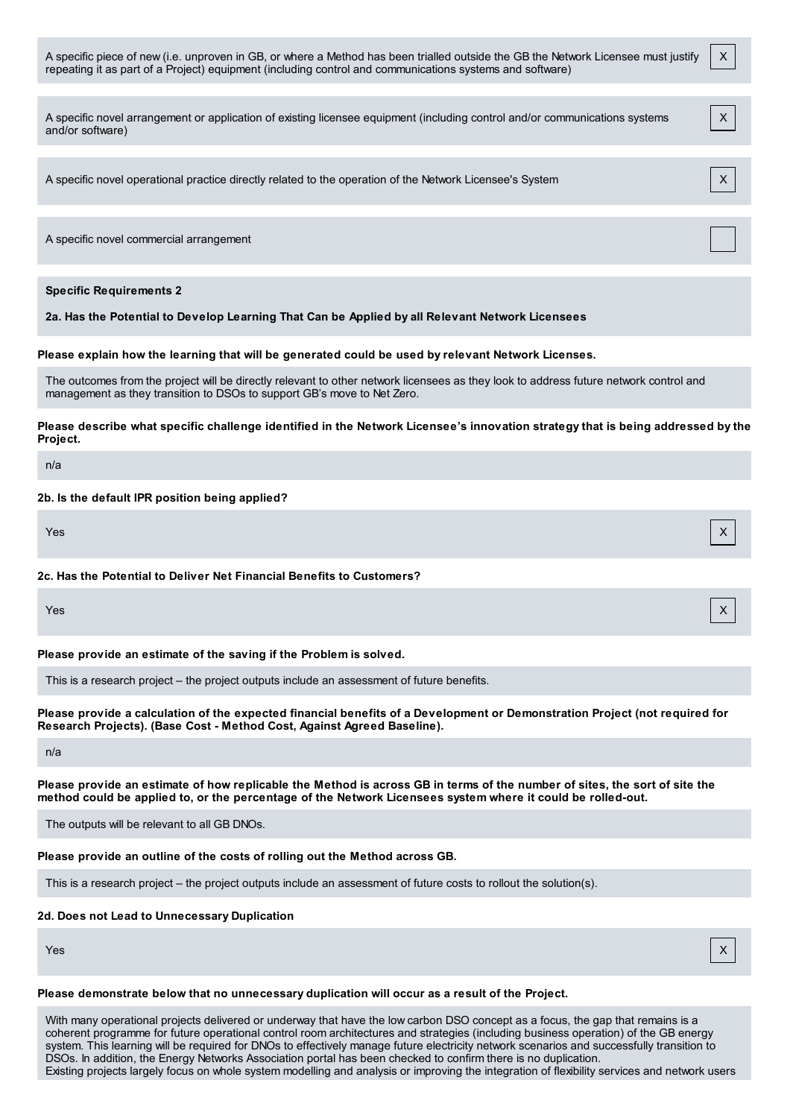| A specific piece of new (i.e. unproven in GB, or where a Method has been trialled outside the GB the Network Licensee must justify<br>repeating it as part of a Project) equipment (including control and communications systems and software) | X |
|------------------------------------------------------------------------------------------------------------------------------------------------------------------------------------------------------------------------------------------------|---|
| A specific novel arrangement or application of existing licensee equipment (including control and/or communications systems<br>and/or software)                                                                                                | X |
| A specific novel operational practice directly related to the operation of the Network Licensee's System                                                                                                                                       | X |
| A specific novel commercial arrangement                                                                                                                                                                                                        |   |
| <b>Specific Requirements 2</b><br>2a. Has the Potential to Develop Learning That Can be Applied by all Relevant Network Licensees                                                                                                              |   |
| Please explain how the learning that will be generated could be used by relevant Network Licenses.                                                                                                                                             |   |
| The outcomes from the project will be directly relevant to other network licensees as they look to address future network control and<br>management as they transition to DSOs to support GB's move to Net Zero.                               |   |
| Please describe what specific challenge identified in the Network Licensee's innovation strategy that is being addressed by the<br>Project.                                                                                                    |   |
| n/a                                                                                                                                                                                                                                            |   |
| 2b. Is the default IPR position being applied?                                                                                                                                                                                                 |   |
| Yes                                                                                                                                                                                                                                            | X |
| 2c. Has the Potential to Deliver Net Financial Benefits to Customers?                                                                                                                                                                          |   |
| Yes                                                                                                                                                                                                                                            | х |
| Please provide an estimate of the saving if the Problem is solved.                                                                                                                                                                             |   |
| This is a research project – the project outputs include an assessment of future benefits.                                                                                                                                                     |   |
| Please provide a calculation of the expected financial benefits of a Development or Demonstration Project (not required for<br>Research Projects). (Base Cost - Method Cost, Against Agreed Baseline).                                         |   |
| n/a                                                                                                                                                                                                                                            |   |
| Please provide an estimate of how replicable the Method is across GB in terms of the number of sites, the sort of site the<br>method could be applied to, or the percentage of the Network Licensees system where it could be rolled-out.      |   |
| The outputs will be relevant to all GB DNOs.                                                                                                                                                                                                   |   |
| Please provide an outline of the costs of rolling out the Method across GB.                                                                                                                                                                    |   |
| This is a research project – the project outputs include an assessment of future costs to rollout the solution(s).                                                                                                                             |   |
| 2d. Does not Lead to Unnecessary Duplication                                                                                                                                                                                                   |   |
| Yes                                                                                                                                                                                                                                            | X |
| Please demonstrate below that no unnecessary duplication will occur as a result of the Project.                                                                                                                                                |   |

With many operational projects delivered or underway that have the low carbon DSO concept as a focus, the gap that remains is a coherent programme for future operational control room architectures and strategies (including business operation) of the GB energy system. This learning will be required for DNOs to effectively manage future electricity network scenarios and successfully transition to DSOs. In addition, the Energy Networks Association portal has been checked to confirm there is no duplication. Existing projects largely focus on whole system modelling and analysis or improving the integration of flexibility services and network users